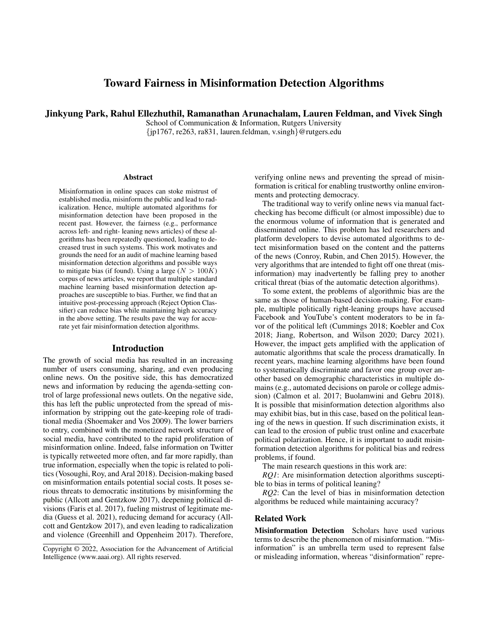# Toward Fairness in Misinformation Detection Algorithms

Jinkyung Park, Rahul Ellezhuthil, Ramanathan Arunachalam, Lauren Feldman, and Vivek Singh

School of Communication & Information, Rutgers University {jp1767, re263, ra831, lauren.feldman, v.singh}@rutgers.edu

#### Abstract

Misinformation in online spaces can stoke mistrust of established media, misinform the public and lead to radicalization. Hence, multiple automated algorithms for misinformation detection have been proposed in the recent past. However, the fairness (e.g., performance across left- and right- leaning news articles) of these algorithms has been repeatedly questioned, leading to decreased trust in such systems. This work motivates and grounds the need for an audit of machine learning based misinformation detection algorithms and possible ways to mitigate bias (if found). Using a large ( $N > 100K$ ) corpus of news articles, we report that multiple standard machine learning based misinformation detection approaches are susceptible to bias. Further, we find that an intuitive post-processing approach (Reject Option Classifier) can reduce bias while maintaining high accuracy in the above setting. The results pave the way for accurate yet fair misinformation detection algorithms.

### Introduction

The growth of social media has resulted in an increasing number of users consuming, sharing, and even producing online news. On the positive side, this has democratized news and information by reducing the agenda-setting control of large professional news outlets. On the negative side, this has left the public unprotected from the spread of misinformation by stripping out the gate-keeping role of traditional media (Shoemaker and Vos 2009). The lower barriers to entry, combined with the monetized network structure of social media, have contributed to the rapid proliferation of misinformation online. Indeed, false information on Twitter is typically retweeted more often, and far more rapidly, than true information, especially when the topic is related to politics (Vosoughi, Roy, and Aral 2018). Decision-making based on misinformation entails potential social costs. It poses serious threats to democratic institutions by misinforming the public (Allcott and Gentzkow 2017), deepening political divisions (Faris et al. 2017), fueling mistrust of legitimate media (Guess et al. 2021), reducing demand for accuracy (Allcott and Gentzkow 2017), and even leading to radicalization and violence (Greenhill and Oppenheim 2017). Therefore,

verifying online news and preventing the spread of misinformation is critical for enabling trustworthy online environments and protecting democracy.

The traditional way to verify online news via manual factchecking has become difficult (or almost impossible) due to the enormous volume of information that is generated and disseminated online. This problem has led researchers and platform developers to devise automated algorithms to detect misinformation based on the content and the patterns of the news (Conroy, Rubin, and Chen 2015). However, the very algorithms that are intended to fight off one threat (misinformation) may inadvertently be falling prey to another critical threat (bias of the automatic detection algorithms).

To some extent, the problems of algorithmic bias are the same as those of human-based decision-making. For example, multiple politically right-leaning groups have accused Facebook and YouTube's content moderators to be in favor of the political left (Cummings 2018; Koebler and Cox 2018; Jiang, Robertson, and Wilson 2020; Darcy 2021). However, the impact gets amplified with the application of automatic algorithms that scale the process dramatically. In recent years, machine learning algorithms have been found to systematically discriminate and favor one group over another based on demographic characteristics in multiple domains (e.g., automated decisions on parole or college admission) (Calmon et al. 2017; Buolamwini and Gebru 2018). It is possible that misinformation detection algorithms also may exhibit bias, but in this case, based on the political leaning of the news in question. If such discrimination exists, it can lead to the erosion of public trust online and exacerbate political polarization. Hence, it is important to audit misinformation detection algorithms for political bias and redress problems, if found.

The main research questions in this work are:

*RO1*: Are misinformation detection algorithms susceptible to bias in terms of political leaning?

*RQ2*: Can the level of bias in misinformation detection algorithms be reduced while maintaining accuracy?

# Related Work

Misinformation Detection Scholars have used various terms to describe the phenomenon of misinformation. "Misinformation" is an umbrella term used to represent false or misleading information, whereas "disinformation" repre-

Copyright © 2022, Association for the Advancement of Artificial Intelligence (www.aaai.org). All rights reserved.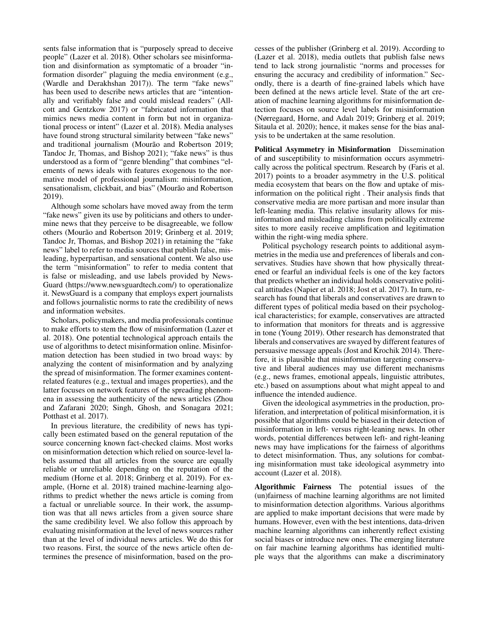sents false information that is "purposely spread to deceive people" (Lazer et al. 2018). Other scholars see misinformation and disinformation as symptomatic of a broader "information disorder" plaguing the media environment (e.g., (Wardle and Derakhshan 2017)). The term "fake news" has been used to describe news articles that are "intentionally and verifiably false and could mislead readers" (Allcott and Gentzkow 2017) or "fabricated information that mimics news media content in form but not in organizational process or intent" (Lazer et al. 2018). Media analyses have found strong structural similarity between "fake news" and traditional journalism (Mourão and Robertson 2019; Tandoc Jr, Thomas, and Bishop 2021); "fake news" is thus understood as a form of "genre blending" that combines "elements of news ideals with features exogenous to the normative model of professional journalism: misinformation, sensationalism, clickbait, and bias" (Mourão and Robertson 2019).

Although some scholars have moved away from the term "fake news" given its use by politicians and others to undermine news that they perceive to be disagreeable, we follow others (Mourão and Robertson 2019; Grinberg et al. 2019; Tandoc Jr, Thomas, and Bishop 2021) in retaining the "fake news" label to refer to media sources that publish false, misleading, hyperpartisan, and sensational content. We also use the term "misinformation" to refer to media content that is false or misleading, and use labels provided by News-Guard (https://www.newsguardtech.com/) to operationalize it. NewsGuard is a company that employs expert journalists and follows journalistic norms to rate the credibility of news and information websites.

Scholars, policymakers, and media professionals continue to make efforts to stem the flow of misinformation (Lazer et al. 2018). One potential technological approach entails the use of algorithms to detect misinformation online. Misinformation detection has been studied in two broad ways: by analyzing the content of misinformation and by analyzing the spread of misinformation. The former examines contentrelated features (e.g., textual and images properties), and the latter focuses on network features of the spreading phenomena in assessing the authenticity of the news articles (Zhou and Zafarani 2020; Singh, Ghosh, and Sonagara 2021; Potthast et al. 2017).

In previous literature, the credibility of news has typically been estimated based on the general reputation of the source concerning known fact-checked claims. Most works on misinformation detection which relied on source-level labels assumed that all articles from the source are equally reliable or unreliable depending on the reputation of the medium (Horne et al. 2018; Grinberg et al. 2019). For example, (Horne et al. 2018) trained machine-learning algorithms to predict whether the news article is coming from a factual or unreliable source. In their work, the assumption was that all news articles from a given source share the same credibility level. We also follow this approach by evaluating misinformation at the level of news sources rather than at the level of individual news articles. We do this for two reasons. First, the source of the news article often determines the presence of misinformation, based on the processes of the publisher (Grinberg et al. 2019). According to (Lazer et al. 2018), media outlets that publish false news tend to lack strong journalistic "norms and processes for ensuring the accuracy and credibility of information." Secondly, there is a dearth of fine-grained labels which have been defined at the news article level. State of the art creation of machine learning algorithms for misinformation detection focuses on source level labels for misinformation (Nørregaard, Horne, and Adalı 2019; Grinberg et al. 2019; Sitaula et al. 2020); hence, it makes sense for the bias analysis to be undertaken at the same resolution.

Political Asymmetry in Misinformation Dissemination of and susceptibility to misinformation occurs asymmetrically across the political spectrum. Research by (Faris et al. 2017) points to a broader asymmetry in the U.S. political media ecosystem that bears on the flow and uptake of misinformation on the political right . Their analysis finds that conservative media are more partisan and more insular than left-leaning media. This relative insularity allows for misinformation and misleading claims from politically extreme sites to more easily receive amplification and legitimation within the right-wing media sphere.

Political psychology research points to additional asymmetries in the media use and preferences of liberals and conservatives. Studies have shown that how physically threatened or fearful an individual feels is one of the key factors that predicts whether an individual holds conservative political attitudes (Napier et al. 2018; Jost et al. 2017). In turn, research has found that liberals and conservatives are drawn to different types of political media based on their psychological characteristics; for example, conservatives are attracted to information that monitors for threats and is aggressive in tone (Young 2019). Other research has demonstrated that liberals and conservatives are swayed by different features of persuasive message appeals (Jost and Krochik 2014). Therefore, it is plausible that misinformation targeting conservative and liberal audiences may use different mechanisms (e.g., news frames, emotional appeals, linguistic attributes, etc.) based on assumptions about what might appeal to and influence the intended audience.

Given the ideological asymmetries in the production, proliferation, and interpretation of political misinformation, it is possible that algorithms could be biased in their detection of misinformation in left- versus right-leaning news. In other words, potential differences between left- and right-leaning news may have implications for the fairness of algorithms to detect misinformation. Thus, any solutions for combating misinformation must take ideological asymmetry into account (Lazer et al. 2018).

Algorithmic Fairness The potential issues of the (un)fairness of machine learning algorithms are not limited to misinformation detection algorithms. Various algorithms are applied to make important decisions that were made by humans. However, even with the best intentions, data-driven machine learning algorithms can inherently reflect existing social biases or introduce new ones. The emerging literature on fair machine learning algorithms has identified multiple ways that the algorithms can make a discriminatory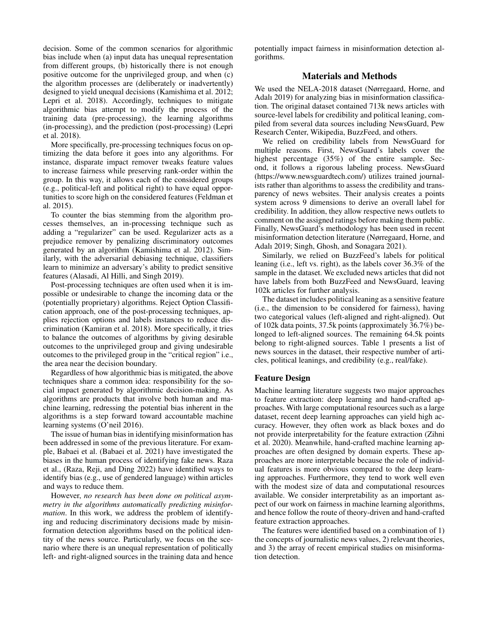decision. Some of the common scenarios for algorithmic bias include when (a) input data has unequal representation from different groups, (b) historically there is not enough positive outcome for the unprivileged group, and when (c) the algorithm processes are (deliberately or inadvertently) designed to yield unequal decisions (Kamishima et al. 2012; Lepri et al. 2018). Accordingly, techniques to mitigate algorithmic bias attempt to modify the process of the training data (pre-processing), the learning algorithms (in-processing), and the prediction (post-processing) (Lepri et al. 2018).

More specifically, pre-processing techniques focus on optimizing the data before it goes into any algorithms. For instance, disparate impact remover tweaks feature values to increase fairness while preserving rank-order within the group. In this way, it allows each of the considered groups (e.g., political-left and political right) to have equal opportunities to score high on the considered features (Feldman et al. 2015).

To counter the bias stemming from the algorithm processes themselves, an in-processing technique such as adding a "regularizer" can be used. Regularizer acts as a prejudice remover by penalizing discriminatory outcomes generated by an algorithm (Kamishima et al. 2012). Similarly, with the adversarial debiasing technique, classifiers learn to minimize an adversary's ability to predict sensitive features (Alasadi, Al Hilli, and Singh 2019).

Post-processing techniques are often used when it is impossible or undesirable to change the incoming data or the (potentially proprietary) algorithms. Reject Option Classification approach, one of the post-processing techniques, applies rejection options and labels instances to reduce discrimination (Kamiran et al. 2018). More specifically, it tries to balance the outcomes of algorithms by giving desirable outcomes to the unprivileged group and giving undesirable outcomes to the privileged group in the "critical region" i.e., the area near the decision boundary.

Regardless of how algorithmic bias is mitigated, the above techniques share a common idea: responsibility for the social impact generated by algorithmic decision-making. As algorithms are products that involve both human and machine learning, redressing the potential bias inherent in the algorithms is a step forward toward accountable machine learning systems (O'neil 2016).

The issue of human bias in identifying misinformation has been addressed in some of the previous literature. For example, Babaei et al. (Babaei et al. 2021) have investigated the biases in the human process of identifying fake news. Raza et al., (Raza, Reji, and Ding 2022) have identified ways to identify bias (e.g., use of gendered language) within articles and ways to reduce them.

However, *no research has been done on political asymmetry in the algorithms automatically predicting misinformation*. In this work, we address the problem of identifying and reducing discriminatory decisions made by misinformation detection algorithms based on the political identity of the news source. Particularly, we focus on the scenario where there is an unequal representation of politically left- and right-aligned sources in the training data and hence potentially impact fairness in misinformation detection algorithms.

# Materials and Methods

We used the NELA-2018 dataset (Nørregaard, Horne, and Adalı 2019) for analyzing bias in misinformation classification. The original dataset contained 713k news articles with source-level labels for credibility and political leaning, compiled from several data sources including NewsGuard, Pew Research Center, Wikipedia, BuzzFeed, and others.

We relied on credibility labels from NewsGuard for multiple reasons. First, NewsGuard's labels cover the highest percentage (35%) of the entire sample. Second, it follows a rigorous labeling process. NewsGuard (https://www.newsguardtech.com/) utilizes trained journalists rather than algorithms to assess the credibility and transparency of news websites. Their analysis creates a points system across 9 dimensions to derive an overall label for credibility. In addition, they allow respective news outlets to comment on the assigned ratings before making them public. Finally, NewsGuard's methodology has been used in recent misinformation detection literature (Nørregaard, Horne, and Adalı 2019; Singh, Ghosh, and Sonagara 2021).

Similarly, we relied on BuzzFeed's labels for political leaning (i.e., left vs. right), as the labels cover 36.3% of the sample in the dataset. We excluded news articles that did not have labels from both BuzzFeed and NewsGuard, leaving 102k articles for further analysis.

The dataset includes political leaning as a sensitive feature (i.e., the dimension to be considered for fairness), having two categorical values (left-aligned and right-aligned). Out of 102k data points, 37.5k points (approximately 36.7%) belonged to left-aligned sources. The remaining 64.5k points belong to right-aligned sources. Table 1 presents a list of news sources in the dataset, their respective number of articles, political leanings, and credibility (e.g., real/fake).

# Feature Design

Machine learning literature suggests two major approaches to feature extraction: deep learning and hand-crafted approaches. With large computational resources such as a large dataset, recent deep learning approaches can yield high accuracy. However, they often work as black boxes and do not provide interpretability for the feature extraction (Zihni et al. 2020). Meanwhile, hand-crafted machine learning approaches are often designed by domain experts. These approaches are more interpretable because the role of individual features is more obvious compared to the deep learning approaches. Furthermore, they tend to work well even with the modest size of data and computational resources available. We consider interpretability as an important aspect of our work on fairness in machine learning algorithms, and hence follow the route of theory-driven and hand-crafted feature extraction approaches.

The features were identified based on a combination of 1) the concepts of journalistic news values, 2) relevant theories, and 3) the array of recent empirical studies on misinformation detection.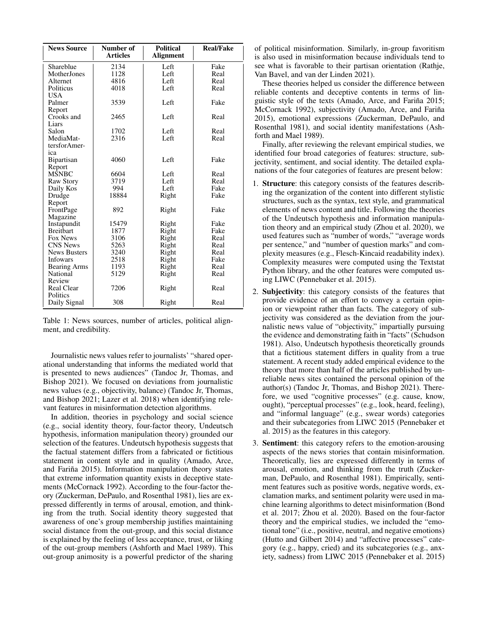| <b>News Source</b>  | Number of<br><b>Articles</b> | <b>Political</b><br><b>Alignment</b> | <b>Real/Fake</b> |  |
|---------------------|------------------------------|--------------------------------------|------------------|--|
|                     |                              |                                      |                  |  |
| Shareblue           | 2134                         | Left                                 | Fake             |  |
| MotherJones         | 1128                         | Left                                 | Real             |  |
| Alternet            | 4816                         | Left                                 | Real             |  |
| Politicus           | 4018                         | Left                                 | Real             |  |
| USA.                |                              |                                      |                  |  |
| Palmer              | 3539                         | Left                                 | Fake             |  |
| Report              |                              |                                      |                  |  |
| Crooks and          | 2465                         | Left                                 | Real             |  |
| Liars               |                              |                                      |                  |  |
| Salon               | 1702                         | Left                                 | Real             |  |
| MediaMat-           | 2316                         | Left                                 | Real             |  |
| tersforAmer-        |                              |                                      |                  |  |
| ica                 |                              |                                      |                  |  |
| Bipartisan          | 4060                         | Left                                 | Fake             |  |
| Report              |                              |                                      |                  |  |
| <b>MSNBC</b>        | 6604                         | Left                                 | Real             |  |
| Raw Story           | 3719                         | Left                                 | Real             |  |
| Daily Kos           | 994                          | Left                                 | Fake             |  |
| Drudge              | 18884                        | Right                                | Fake             |  |
| Report              |                              |                                      |                  |  |
| FrontPage           | 892                          | Right                                | Fake             |  |
| Magazine            |                              |                                      |                  |  |
| Instapundit         | 15479                        | Right                                | Fake             |  |
| <b>Breithart</b>    | 1877                         | Right                                | Fake             |  |
| Fox News            | 3106                         | Right                                | Real             |  |
| <b>CNS News</b>     | 5263                         | Right                                | Real             |  |
| <b>News Busters</b> | 3240                         | Right                                | Real             |  |
| <b>Infowars</b>     | 2518                         | Right                                | Fake             |  |
| <b>Bearing Arms</b> | 1193                         | Right                                | Real             |  |
| National            | 5129                         | Right                                | Real             |  |
| Review              |                              |                                      |                  |  |
| <b>Real Clear</b>   | 7206                         | Right                                | Real             |  |
| Politics            |                              |                                      |                  |  |
| Daily Signal        | 308                          | Right                                | Real             |  |

Table 1: News sources, number of articles, political alignment, and credibility.

Journalistic news values refer to journalists' "shared operational understanding that informs the mediated world that is presented to news audiences" (Tandoc Jr, Thomas, and Bishop 2021). We focused on deviations from journalistic news values (e.g., objectivity, balance) (Tandoc Jr, Thomas, and Bishop 2021; Lazer et al. 2018) when identifying relevant features in misinformation detection algorithms.

In addition, theories in psychology and social science (e.g., social identity theory, four-factor theory, Undeutsch hypothesis, information manipulation theory) grounded our selection of the features. Undeutsch hypothesis suggests that the factual statement differs from a fabricated or fictitious statement in content style and in quality (Amado, Arce, and Fariña 2015). Information manipulation theory states that extreme information quantity exists in deceptive statements (McCornack 1992). According to the four-factor theory (Zuckerman, DePaulo, and Rosenthal 1981), lies are expressed differently in terms of arousal, emotion, and thinking from the truth. Social identity theory suggested that awareness of one's group membership justifies maintaining social distance from the out-group, and this social distance is explained by the feeling of less acceptance, trust, or liking of the out-group members (Ashforth and Mael 1989). This out-group animosity is a powerful predictor of the sharing

of political misinformation. Similarly, in-group favoritism is also used in misinformation because individuals tend to see what is favorable to their partisan orientation (Rathje, Van Bavel, and van der Linden 2021).

These theories helped us consider the difference between reliable contents and deceptive contents in terms of linguistic style of the texts (Amado, Arce, and Fariña 2015; McCornack 1992), subjectivity (Amado, Arce, and Fariña 2015), emotional expressions (Zuckerman, DePaulo, and Rosenthal 1981), and social identity manifestations (Ashforth and Mael 1989).

Finally, after reviewing the relevant empirical studies, we identified four broad categories of features: structure, subjectivity, sentiment, and social identity. The detailed explanations of the four categories of features are present below:

- 1. Structure: this category consists of the features describing the organization of the content into different stylistic structures, such as the syntax, text style, and grammatical elements of news content and title. Following the theories of the Undeutsch hypothesis and information manipulation theory and an empirical study (Zhou et al. 2020), we used features such as "number of words," "average words per sentence," and "number of question marks" and complexity measures (e.g., Flesch-Kincaid readability index). Complexity measures were computed using the Textstat Python library, and the other features were computed using LIWC (Pennebaker et al. 2015).
- 2. Subjectivity: this category consists of the features that provide evidence of an effort to convey a certain opinion or viewpoint rather than facts. The category of subjectivity was considered as the deviation from the journalistic news value of "objectivity," impartially pursuing the evidence and demonstrating faith in "facts" (Schudson 1981). Also, Undeutsch hypothesis theoretically grounds that a fictitious statement differs in quality from a true statement. A recent study added empirical evidence to the theory that more than half of the articles published by unreliable news sites contained the personal opinion of the author(s) (Tandoc Jr, Thomas, and Bishop 2021). Therefore, we used "cognitive processes" (e.g. cause, know, ought), "perceptual processes" (e.g., look, heard, feeling), and "informal language" (e.g., swear words) categories and their subcategories from LIWC 2015 (Pennebaker et al. 2015) as the features in this category.
- 3. Sentiment: this category refers to the emotion-arousing aspects of the news stories that contain misinformation. Theoretically, lies are expressed differently in terms of arousal, emotion, and thinking from the truth (Zuckerman, DePaulo, and Rosenthal 1981). Empirically, sentiment features such as positive words, negative words, exclamation marks, and sentiment polarity were used in machine learning algorithms to detect misinformation (Bond et al. 2017; Zhou et al. 2020). Based on the four-factor theory and the empirical studies, we included the "emotional tone" (i.e., positive, neutral, and negative emotions) (Hutto and Gilbert 2014) and "affective processes" category (e.g., happy, cried) and its subcategories (e.g., anxiety, sadness) from LIWC 2015 (Pennebaker et al. 2015)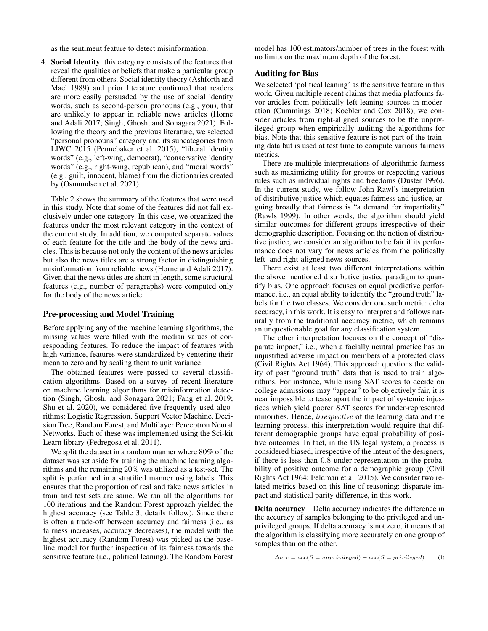as the sentiment feature to detect misinformation.

4. Social Identity: this category consists of the features that reveal the qualities or beliefs that make a particular group different from others. Social identity theory (Ashforth and Mael 1989) and prior literature confirmed that readers are more easily persuaded by the use of social identity words, such as second-person pronouns (e.g., you), that are unlikely to appear in reliable news articles (Horne and Adali 2017; Singh, Ghosh, and Sonagara 2021). Following the theory and the previous literature, we selected "personal pronouns" category and its subcategories from LIWC 2015 (Pennebaker et al. 2015), "liberal identity words" (e.g., left-wing, democrat), "conservative identity words" (e.g., right-wing, republican), and "moral words" (e.g., guilt, innocent, blame) from the dictionaries created by (Osmundsen et al. 2021).

Table 2 shows the summary of the features that were used in this study. Note that some of the features did not fall exclusively under one category. In this case, we organized the features under the most relevant category in the context of the current study. In addition, we computed separate values of each feature for the title and the body of the news articles. This is because not only the content of the news articles but also the news titles are a strong factor in distinguishing misinformation from reliable news (Horne and Adali 2017). Given that the news titles are short in length, some structural features (e.g., number of paragraphs) were computed only for the body of the news article.

#### Pre-processing and Model Training

Before applying any of the machine learning algorithms, the missing values were filled with the median values of corresponding features. To reduce the impact of features with high variance, features were standardized by centering their mean to zero and by scaling them to unit variance.

The obtained features were passed to several classification algorithms. Based on a survey of recent literature on machine learning algorithms for misinformation detection (Singh, Ghosh, and Sonagara 2021; Fang et al. 2019; Shu et al. 2020), we considered five frequently used algorithms: Logistic Regression, Support Vector Machine, Decision Tree, Random Forest, and Multilayer Perceptron Neural Networks. Each of these was implemented using the Sci-kit Learn library (Pedregosa et al. 2011).

We split the dataset in a random manner where 80% of the dataset was set aside for training the machine learning algorithms and the remaining 20% was utilized as a test-set. The split is performed in a stratified manner using labels. This ensures that the proportion of real and fake news articles in train and test sets are same. We ran all the algorithms for 100 iterations and the Random Forest approach yielded the highest accuracy (see Table 3; details follow). Since there is often a trade-off between accuracy and fairness (i.e., as fairness increases, accuracy decreases), the model with the highest accuracy (Random Forest) was picked as the baseline model for further inspection of its fairness towards the sensitive feature (i.e., political leaning). The Random Forest

model has 100 estimators/number of trees in the forest with no limits on the maximum depth of the forest.

# Auditing for Bias

We selected 'political leaning' as the sensitive feature in this work. Given multiple recent claims that media platforms favor articles from politically left-leaning sources in moderation (Cummings 2018; Koebler and Cox 2018), we consider articles from right-aligned sources to be the unprivileged group when empirically auditing the algorithms for bias. Note that this sensitive feature is not part of the training data but is used at test time to compute various fairness metrics.

There are multiple interpretations of algorithmic fairness such as maximizing utility for groups or respecting various rules such as individual rights and freedoms (Duster 1996). In the current study, we follow John Rawl's interpretation of distributive justice which equates fairness and justice, arguing broadly that fairness is "a demand for impartiality" (Rawls 1999). In other words, the algorithm should yield similar outcomes for different groups irrespective of their demographic description. Focusing on the notion of distributive justice, we consider an algorithm to be fair if its performance does not vary for news articles from the politically left- and right-aligned news sources.

There exist at least two different interpretations within the above mentioned distributive justice paradigm to quantify bias. One approach focuses on equal predictive performance, i.e., an equal ability to identify the "ground truth" labels for the two classes. We consider one such metric: delta accuracy, in this work. It is easy to interpret and follows naturally from the traditional accuracy metric, which remains an unquestionable goal for any classification system.

The other interpretation focuses on the concept of "disparate impact," i.e., when a facially neutral practice has an unjustified adverse impact on members of a protected class (Civil Rights Act 1964). This approach questions the validity of past "ground truth" data that is used to train algorithms. For instance, while using SAT scores to decide on college admissions may "appear" to be objectively fair, it is near impossible to tease apart the impact of systemic injustices which yield poorer SAT scores for under-represented minorities. Hence, *irrespective* of the learning data and the learning process, this interpretation would require that different demographic groups have equal probability of positive outcomes. In fact, in the US legal system, a process is considered biased, irrespective of the intent of the designers, if there is less than 0.8 under-representation in the probability of positive outcome for a demographic group (Civil Rights Act 1964; Feldman et al. 2015). We consider two related metrics based on this line of reasoning: disparate impact and statistical parity difference, in this work.

Delta accuracy Delta accuracy indicates the difference in the accuracy of samples belonging to the privileged and unprivileged groups. If delta accuracy is not zero, it means that the algorithm is classifying more accurately on one group of samples than on the other.

```
\Delta acc = acc(S = unprivileged) - acc(S = privileged) (1)
```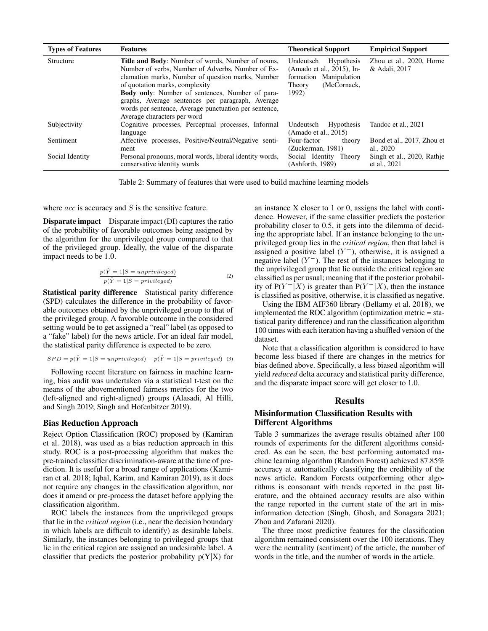| <b>Types of Features</b> | <b>Features</b>                                                                                                                                                                                                                                                                                                                                                                                     | <b>Theoretical Support</b>                                                                                              | <b>Empirical Support</b>                   |
|--------------------------|-----------------------------------------------------------------------------------------------------------------------------------------------------------------------------------------------------------------------------------------------------------------------------------------------------------------------------------------------------------------------------------------------------|-------------------------------------------------------------------------------------------------------------------------|--------------------------------------------|
| Structure                | <b>Title and Body:</b> Number of words, Number of nouns,<br>Number of verbs, Number of Adverbs, Number of Ex-<br>clamation marks, Number of question marks, Number<br>of quotation marks, complexity<br>Body only: Number of sentences, Number of para-<br>graphs, Average sentences per paragraph, Average<br>words per sentence, Average punctuation per sentence,<br>Average characters per word | <b>Hypothesis</b><br>Undeutsch<br>(Amado et al., 2015), In-<br>formation Manipulation<br>(McCornack.<br>Theory<br>1992) | Zhou et al., 2020, Horne<br>& Adali, 2017  |
| Subjectivity             | Cognitive processes, Perceptual processes, Informal<br>language                                                                                                                                                                                                                                                                                                                                     | Hypothesis<br>Undeutsch<br>(Amado et al., 2015)                                                                         | Tandoc et al., 2021                        |
| Sentiment                | Affective processes, Positive/Neutral/Negative senti-<br>ment                                                                                                                                                                                                                                                                                                                                       | Four-factor<br>theory<br>(Zuckerman, 1981)                                                                              | Bond et al., 2017, Zhou et<br>al., 2020    |
| Social Identity          | Personal pronouns, moral words, liberal identity words,<br>conservative identity words                                                                                                                                                                                                                                                                                                              | Social Identity Theory<br>(Ashforth, 1989)                                                                              | Singh et al., 2020, Rathie<br>et al., 2021 |

Table 2: Summary of features that were used to build machine learning models

where  $acc$  is accuracy and  $S$  is the sensitive feature.

Disparate impact Disparate impact (DI) captures the ratio of the probability of favorable outcomes being assigned by the algorithm for the unprivileged group compared to that of the privileged group. Ideally, the value of the disparate impact needs to be 1.0.

$$
\frac{p(\hat{Y} = 1|S = unprivileged)}{p(\hat{Y} = 1|S = privileged)}
$$
\n(2)

Statistical parity difference Statistical parity difference (SPD) calculates the difference in the probability of favorable outcomes obtained by the unprivileged group to that of the privileged group. A favorable outcome in the considered setting would be to get assigned a "real" label (as opposed to a "fake" label) for the news article. For an ideal fair model, the statistical parity difference is expected to be zero.

$$
SPD = p(\hat{Y} = 1|S = unprivileged) - p(\hat{Y} = 1|S = privileged)
$$
 (3)

Following recent literature on fairness in machine learning, bias audit was undertaken via a statistical t-test on the means of the abovementioned fairness metrics for the two (left-aligned and right-aligned) groups (Alasadi, Al Hilli, and Singh 2019; Singh and Hofenbitzer 2019).

#### Bias Reduction Approach

Reject Option Classification (ROC) proposed by (Kamiran et al. 2018), was used as a bias reduction approach in this study. ROC is a post-processing algorithm that makes the pre-trained classifier discrimination-aware at the time of prediction. It is useful for a broad range of applications (Kamiran et al. 2018; Iqbal, Karim, and Kamiran 2019), as it does not require any changes in the classification algorithm, nor does it amend or pre-process the dataset before applying the classification algorithm.

ROC labels the instances from the unprivileged groups that lie in the *critical region* (i.e., near the decision boundary in which labels are difficult to identify) as desirable labels. Similarly, the instances belonging to privileged groups that lie in the critical region are assigned an undesirable label. A classifier that predicts the posterior probability  $p(Y|X)$  for

an instance X closer to 1 or 0, assigns the label with confidence. However, if the same classifier predicts the posterior probability closer to 0.5, it gets into the dilemma of deciding the appropriate label. If an instance belonging to the unprivileged group lies in the *critical region*, then that label is assigned a positive label  $(Y^+)$ , otherwise, it is assigned a negative label  $(Y^-)$ . The rest of the instances belonging to the unprivileged group that lie outside the critical region are classified as per usual; meaning that if the posterior probability of  $P(Y^+|X)$  is greater than  $P(Y^-|X)$ , then the instance is classified as positive, otherwise, it is classified as negative.

Using the IBM AIF360 library (Bellamy et al. 2018), we implemented the ROC algorithm (optimization metric = statistical parity difference) and ran the classification algorithm 100 times with each iteration having a shuffled version of the dataset.

Note that a classification algorithm is considered to have become less biased if there are changes in the metrics for bias defined above. Specifically, a less biased algorithm will yield *reduced* delta accuracy and statistical parity difference, and the disparate impact score will get closer to 1.0.

## **Results**

# Misinformation Classification Results with Different Algorithms

Table 3 summarizes the average results obtained after 100 rounds of experiments for the different algorithms considered. As can be seen, the best performing automated machine learning algorithm (Random Forest) achieved 87.85% accuracy at automatically classifying the credibility of the news article. Random Forests outperforming other algorithms is consonant with trends reported in the past literature, and the obtained accuracy results are also within the range reported in the current state of the art in misinformation detection (Singh, Ghosh, and Sonagara 2021; Zhou and Zafarani 2020).

The three most predictive features for the classification algorithm remained consistent over the 100 iterations. They were the neutrality (sentiment) of the article, the number of words in the title, and the number of words in the article.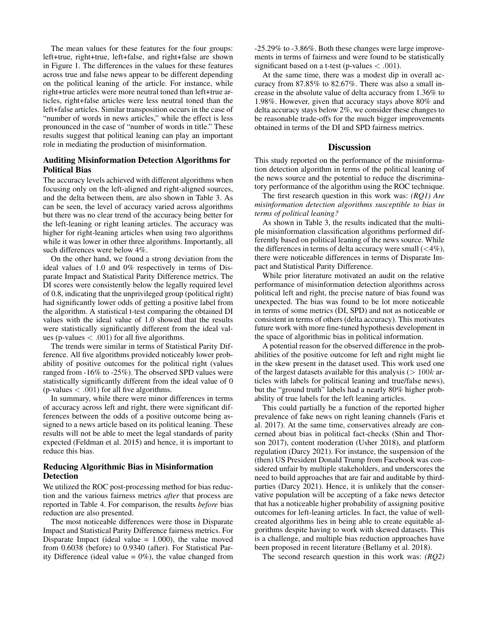The mean values for these features for the four groups: left+true, right+true, left+false, and right+false are shown in Figure 1. The differences in the values for these features across true and false news appear to be different depending on the political leaning of the article. For instance, while right+true articles were more neutral toned than left+true articles, right+false articles were less neutral toned than the left+false articles. Similar transposition occurs in the case of "number of words in news articles," while the effect is less pronounced in the case of "number of words in title." These results suggest that political leaning can play an important role in mediating the production of misinformation.

# Auditing Misinformation Detection Algorithms for Political Bias

The accuracy levels achieved with different algorithms when focusing only on the left-aligned and right-aligned sources, and the delta between them, are also shown in Table 3. As can be seen, the level of accuracy varied across algorithms but there was no clear trend of the accuracy being better for the left-leaning or right leaning articles. The accuracy was higher for right-leaning articles when using two algorithms while it was lower in other three algorithms. Importantly, all such differences were below 4%.

On the other hand, we found a strong deviation from the ideal values of 1.0 and 0% respectively in terms of Disparate Impact and Statistical Parity Difference metrics. The DI scores were consistently below the legally required level of 0.8, indicating that the unprivileged group (political right) had significantly lower odds of getting a positive label from the algorithm. A statistical t-test comparing the obtained DI values with the ideal value of 1.0 showed that the results were statistically significantly different from the ideal values (p-values  $< .001$ ) for all five algorithms.

The trends were similar in terms of Statistical Parity Difference. All five algorithms provided noticeably lower probability of positive outcomes for the political right (values ranged from -16% to -25%). The observed SPD values were statistically significantly different from the ideal value of 0 (p-values  $< .001$ ) for all five algorithms.

In summary, while there were minor differences in terms of accuracy across left and right, there were significant differences between the odds of a positive outcome being assigned to a news article based on its political leaning. These results will not be able to meet the legal standards of parity expected (Feldman et al. 2015) and hence, it is important to reduce this bias.

# Reducing Algorithmic Bias in Misinformation Detection

We utilized the ROC post-processing method for bias reduction and the various fairness metrics *after* that process are reported in Table 4. For comparison, the results *before* bias reduction are also presented.

The most noticeable differences were those in Disparate Impact and Statistical Parity Difference fairness metrics. For Disparate Impact (ideal value  $= 1.000$ ), the value moved from 0.6038 (before) to 0.9340 (after). For Statistical Parity Difference (ideal value =  $0\%$ ), the value changed from

-25.29% to -3.86%. Both these changes were large improvements in terms of fairness and were found to be statistically significant based on a t-test (p-values  $<$  .001).

At the same time, there was a modest dip in overall accuracy from 87.85% to 82.67%. There was also a small increase in the absolute value of delta accuracy from 1.36% to 1.98%. However, given that accuracy stays above 80% and delta accuracy stays below 2%, we consider these changes to be reasonable trade-offs for the much bigger improvements obtained in terms of the DI and SPD fairness metrics.

## **Discussion**

This study reported on the performance of the misinformation detection algorithm in terms of the political leaning of the news source and the potential to reduce the discriminatory performance of the algorithm using the ROC technique.

The first research question in this work was: *(RQ1) Are misinformation detection algorithms susceptible to bias in terms of political leaning?*

As shown in Table 3, the results indicated that the multiple misinformation classification algorithms performed differently based on political leaning of the news source. While the differences in terms of delta accuracy were small  $(< 4\%$ ), there were noticeable differences in terms of Disparate Impact and Statistical Parity Difference.

While prior literature motivated an audit on the relative performance of misinformation detection algorithms across political left and right, the precise nature of bias found was unexpected. The bias was found to be lot more noticeable in terms of some metrics (DI, SPD) and not as noticeable or consistent in terms of others (delta accuracy). This motivates future work with more fine-tuned hypothesis development in the space of algorithmic bias in political information.

A potential reason for the observed difference in the probabilities of the positive outcome for left and right might lie in the skew present in the dataset used. This work used one of the largest datasets available for this analysis ( $> 100k$  articles with labels for political leaning and true/false news), but the "ground truth" labels had a nearly 80% higher probability of true labels for the left leaning articles.

This could partially be a function of the reported higher prevalence of fake news on right leaning channels (Faris et al. 2017). At the same time, conservatives already are concerned about bias in political fact-checks (Shin and Thorson 2017), content moderation (Usher 2018), and platform regulation (Darcy 2021). For instance, the suspension of the (then) US President Donald Trump from Facebook was considered unfair by multiple stakeholders, and underscores the need to build approaches that are fair and auditable by thirdparties (Darcy 2021). Hence, it is unlikely that the conservative population will be accepting of a fake news detector that has a noticeable higher probability of assigning positive outcomes for left-leaning articles. In fact, the value of wellcreated algorithms lies in being able to create equitable algorithms despite having to work with skewed datasets. This is a challenge, and multiple bias reduction approaches have been proposed in recent literature (Bellamy et al. 2018).

The second research question in this work was: *(RQ2)*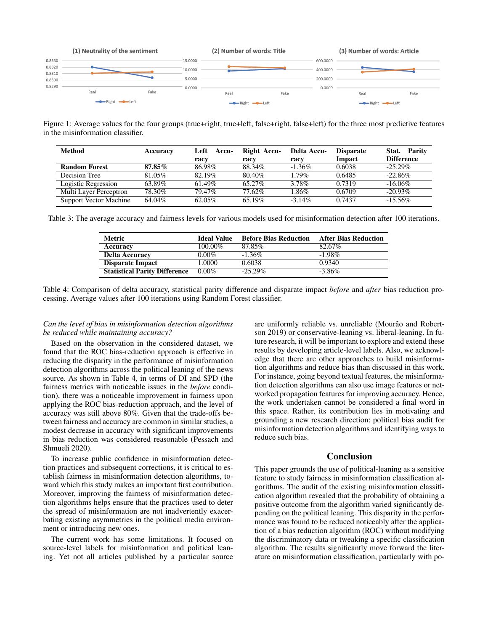

Figure 1: Average values for the four groups (true+right, true+left, false+right, false+left) for the three most predictive features in the misinformation classifier.

| <b>Method</b>                 | Accuracy | Left<br><b>Accu-</b><br>racy | Right Accu-<br>racy | Delta Accu-<br>racy | <b>Disparate</b><br>Impact | Stat. Parity<br><b>Difference</b> |
|-------------------------------|----------|------------------------------|---------------------|---------------------|----------------------------|-----------------------------------|
| <b>Random Forest</b>          | 87.85%   | 86.98%                       | 88.34%              | $-1.36\%$           | 0.6038                     | $-25.29\%$                        |
| Decision Tree                 | 81.05%   | 82.19%                       | 80.40%              | $1.79\%$            | 0.6485                     | $-22.86%$                         |
| Logistic Regression           | 63.89%   | $61.49\%$                    | 65.27%              | 3.78%               | 0.7319                     | $-16.06\%$                        |
| Multi Layer Perceptron        | 78.30%   | 79.47%                       | 77.62%              | 1.86%               | 0.6709                     | $-20.93\%$                        |
| <b>Support Vector Machine</b> | 64.04%   | 62.05%                       | 65.19%              | $-3.14\%$           | 0.7437                     | $-15.56\%$                        |

Table 3: The average accuracy and fairness levels for various models used for misinformation detection after 100 iterations.

| Metric                               | <b>Ideal Value</b> | <b>Before Bias Reduction</b> | <b>After Bias Reduction</b> |
|--------------------------------------|--------------------|------------------------------|-----------------------------|
| Accuracy                             | $100.00\%$         | 87.85%                       | 82.67%                      |
| <b>Delta Accuracy</b>                | $0.00\%$           | $-1.36\%$                    | $-1.98\%$                   |
| Disparate Impact                     | 1.0000             | 0.6038                       | 0.9340                      |
| <b>Statistical Parity Difference</b> | $0.00\%$           | $-25.29\%$                   | $-3.86\%$                   |

Table 4: Comparison of delta accuracy, statistical parity difference and disparate impact *before* and *after* bias reduction processing. Average values after 100 iterations using Random Forest classifier.

## *Can the level of bias in misinformation detection algorithms be reduced while maintaining accuracy?*

Based on the observation in the considered dataset, we found that the ROC bias-reduction approach is effective in reducing the disparity in the performance of misinformation detection algorithms across the political leaning of the news source. As shown in Table 4, in terms of DI and SPD (the fairness metrics with noticeable issues in the *before* condition), there was a noticeable improvement in fairness upon applying the ROC bias-reduction approach, and the level of accuracy was still above 80%. Given that the trade-offs between fairness and accuracy are common in similar studies, a modest decrease in accuracy with significant improvements in bias reduction was considered reasonable (Pessach and Shmueli 2020).

To increase public confidence in misinformation detection practices and subsequent corrections, it is critical to establish fairness in misinformation detection algorithms, toward which this study makes an important first contribution. Moreover, improving the fairness of misinformation detection algorithms helps ensure that the practices used to deter the spread of misinformation are not inadvertently exacerbating existing asymmetries in the political media environment or introducing new ones.

The current work has some limitations. It focused on source-level labels for misinformation and political leaning. Yet not all articles published by a particular source

are uniformly reliable vs. unreliable (Mourão and Robertson 2019) or conservative-leaning vs. liberal-leaning. In future research, it will be important to explore and extend these results by developing article-level labels. Also, we acknowledge that there are other approaches to build misinformation algorithms and reduce bias than discussed in this work. For instance, going beyond textual features, the misinformation detection algorithms can also use image features or networked propagation features for improving accuracy. Hence, the work undertaken cannot be considered a final word in this space. Rather, its contribution lies in motivating and grounding a new research direction: political bias audit for misinformation detection algorithms and identifying ways to reduce such bias.

## Conclusion

This paper grounds the use of political-leaning as a sensitive feature to study fairness in misinformation classification algorithms. The audit of the existing misinformation classification algorithm revealed that the probability of obtaining a positive outcome from the algorithm varied significantly depending on the political leaning. This disparity in the performance was found to be reduced noticeably after the application of a bias reduction algorithm (ROC) without modifying the discriminatory data or tweaking a specific classification algorithm. The results significantly move forward the literature on misinformation classification, particularly with po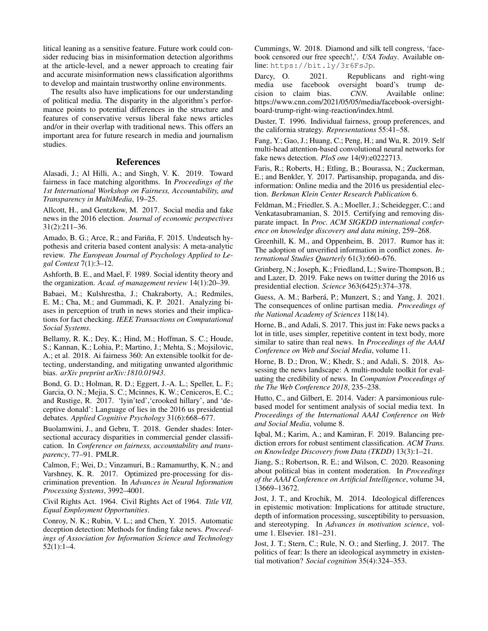litical leaning as a sensitive feature. Future work could consider reducing bias in misinformation detection algorithms at the article-level, and a newer approach to creating fair and accurate misinformation news classification algorithms to develop and maintain trustworthy online environments.

The results also have implications for our understanding of political media. The disparity in the algorithm's performance points to potential differences in the structure and features of conservative versus liberal fake news articles and/or in their overlap with traditional news. This offers an important area for future research in media and journalism studies.

## References

Alasadi, J.; Al Hilli, A.; and Singh, V. K. 2019. Toward fairness in face matching algorithms. In *Proceedings of the 1st International Workshop on Fairness, Accountability, and Transparency in MultiMedia*, 19–25.

Allcott, H., and Gentzkow, M. 2017. Social media and fake news in the 2016 election. *Journal of economic perspectives* 31(2):211–36.

Amado, B. G.; Arce, R.; and Fariña, F. 2015. Undeutsch hypothesis and criteria based content analysis: A meta-analytic review. *The European Journal of Psychology Applied to Legal Context* 7(1):3–12.

Ashforth, B. E., and Mael, F. 1989. Social identity theory and the organization. *Acad. of management review* 14(1):20–39.

Babaei, M.; Kulshrestha, J.; Chakraborty, A.; Redmiles, E. M.; Cha, M.; and Gummadi, K. P. 2021. Analyzing biases in perception of truth in news stories and their implications for fact checking. *IEEE Transactions on Computational Social Systems*.

Bellamy, R. K.; Dey, K.; Hind, M.; Hoffman, S. C.; Houde, S.; Kannan, K.; Lohia, P.; Martino, J.; Mehta, S.; Mojsilovic, A.; et al. 2018. Ai fairness 360: An extensible toolkit for detecting, understanding, and mitigating unwanted algorithmic bias. *arXiv preprint arXiv:1810.01943*.

Bond, G. D.; Holman, R. D.; Eggert, J.-A. L.; Speller, L. F.; Garcia, O. N.; Mejia, S. C.; Mcinnes, K. W.; Ceniceros, E. C.; and Rustige, R. 2017. 'lyin'ted','crooked hillary', and 'deceptive donald': Language of lies in the 2016 us presidential debates. *Applied Cognitive Psychology* 31(6):668–677.

Buolamwini, J., and Gebru, T. 2018. Gender shades: Intersectional accuracy disparities in commercial gender classification. In *Conference on fairness, accountability and transparency*, 77–91. PMLR.

Calmon, F.; Wei, D.; Vinzamuri, B.; Ramamurthy, K. N.; and Varshney, K. R. 2017. Optimized pre-processing for discrimination prevention. In *Advances in Neural Information Processing Systems*, 3992–4001.

Civil Rights Act. 1964. Civil Rights Act of 1964. *Title VII, Equal Employment Opportunities*.

Conroy, N. K.; Rubin, V. L.; and Chen, Y. 2015. Automatic deception detection: Methods for finding fake news. *Proceedings of Association for Information Science and Technology* 52(1):1–4.

Cummings, W. 2018. Diamond and silk tell congress, 'facebook censored our free speech!,'. *USA Today*. Available online: https://bit.ly/3r6FsJp.

Darcy, O. 2021. Republicans and right-wing<br>media use facebook oversight board's trump deoversight board's trump de-<br>
CNN. Available online: cision to claim bias. *CNN*. Available online: https://www.cnn.com/2021/05/05/media/facebook-oversightboard-trump-right-wing-reaction/index.html.

Duster, T. 1996. Individual fairness, group preferences, and the california strategy. *Representations* 55:41–58.

Fang, Y.; Gao, J.; Huang, C.; Peng, H.; and Wu, R. 2019. Self multi-head attention-based convolutional neural networks for fake news detection. *PloS one* 14(9):e0222713.

Faris, R.; Roberts, H.; Etling, B.; Bourassa, N.; Zuckerman, E.; and Benkler, Y. 2017. Partisanship, propaganda, and disinformation: Online media and the 2016 us presidential election. *Berkman Klein Center Research Publication* 6.

Feldman, M.; Friedler, S. A.; Moeller, J.; Scheidegger, C.; and Venkatasubramanian, S. 2015. Certifying and removing disparate impact. In *Proc. ACM SIGKDD international conference on knowledge discovery and data mining*, 259–268.

Greenhill, K. M., and Oppenheim, B. 2017. Rumor has it: The adoption of unverified information in conflict zones. *International Studies Quarterly* 61(3):660–676.

Grinberg, N.; Joseph, K.; Friedland, L.; Swire-Thompson, B.; and Lazer, D. 2019. Fake news on twitter during the 2016 us presidential election. *Science* 363(6425):374–378.

Guess, A. M.; Barberá, P.; Munzert, S.; and Yang, J. 2021. The consequences of online partisan media. *Proceedings of the National Academy of Sciences* 118(14).

Horne, B., and Adali, S. 2017. This just in: Fake news packs a lot in title, uses simpler, repetitive content in text body, more similar to satire than real news. In *Proceedings of the AAAI Conference on Web and Social Media*, volume 11.

Horne, B. D.; Dron, W.; Khedr, S.; and Adali, S. 2018. Assessing the news landscape: A multi-module toolkit for evaluating the credibility of news. In *Companion Proceedings of the The Web Conference 2018*, 235–238.

Hutto, C., and Gilbert, E. 2014. Vader: A parsimonious rulebased model for sentiment analysis of social media text. In *Proceedings of the International AAAI Conference on Web and Social Media*, volume 8.

Iqbal, M.; Karim, A.; and Kamiran, F. 2019. Balancing prediction errors for robust sentiment classification. *ACM Trans. on Knowledge Discovery from Data (TKDD)* 13(3):1–21.

Jiang, S.; Robertson, R. E.; and Wilson, C. 2020. Reasoning about political bias in content moderation. In *Proceedings of the AAAI Conference on Artificial Intelligence*, volume 34, 13669–13672.

Jost, J. T., and Krochik, M. 2014. Ideological differences in epistemic motivation: Implications for attitude structure, depth of information processing, susceptibility to persuasion, and stereotyping. In *Advances in motivation science*, volume 1. Elsevier. 181–231.

Jost, J. T.; Stern, C.; Rule, N. O.; and Sterling, J. 2017. The politics of fear: Is there an ideological asymmetry in existential motivation? *Social cognition* 35(4):324–353.